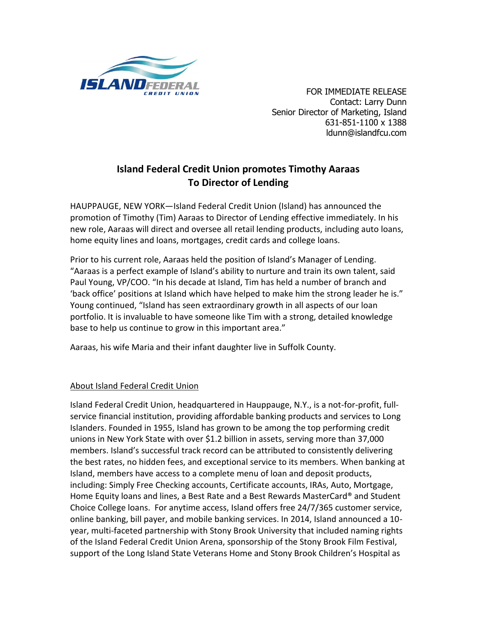

 FOR IMMEDIATE RELEASE Contact: Larry Dunn Senior Director of Marketing, Island 631-851-1100 x 1388 ldunn@islandfcu.com

## **Island Federal Credit Union promotes Timothy Aaraas To Director of Lending**

HAUPPAUGE, NEW YORK—Island Federal Credit Union (Island) has announced the promotion of Timothy (Tim) Aaraas to Director of Lending effective immediately. In his new role, Aaraas will direct and oversee all retail lending products, including auto loans, home equity lines and loans, mortgages, credit cards and college loans.

Prior to his current role, Aaraas held the position of Island's Manager of Lending. "Aaraas is a perfect example of Island's ability to nurture and train its own talent, said Paul Young, VP/COO. "In his decade at Island, Tim has held a number of branch and 'back office' positions at Island which have helped to make him the strong leader he is." Young continued, "Island has seen extraordinary growth in all aspects of our loan portfolio. It is invaluable to have someone like Tim with a strong, detailed knowledge base to help us continue to grow in this important area."

Aaraas, his wife Maria and their infant daughter live in Suffolk County.

## About Island Federal Credit Union

Island Federal Credit Union, headquartered in Hauppauge, N.Y., is a not-for-profit, fullservice financial institution, providing affordable banking products and services to Long Islanders. Founded in 1955, Island has grown to be among the top performing credit unions in New York State with over \$1.2 billion in assets, serving more than 37,000 members. Island's successful track record can be attributed to consistently delivering the best rates, no hidden fees, and exceptional service to its members. When banking at Island, members have access to a complete menu of loan and deposit products, including: Simply Free Checking accounts, Certificate accounts, IRAs, Auto, Mortgage, Home Equity loans and lines, a Best Rate and a Best Rewards MasterCard® and Student Choice College loans. For anytime access, Island offers free 24/7/365 customer service, online banking, bill payer, and mobile banking services. In 2014, Island announced a 10 year, multi-faceted partnership with Stony Brook University that included naming rights of the Island Federal Credit Union Arena, sponsorship of the Stony Brook Film Festival, support of the Long Island State Veterans Home and Stony Brook Children's Hospital as